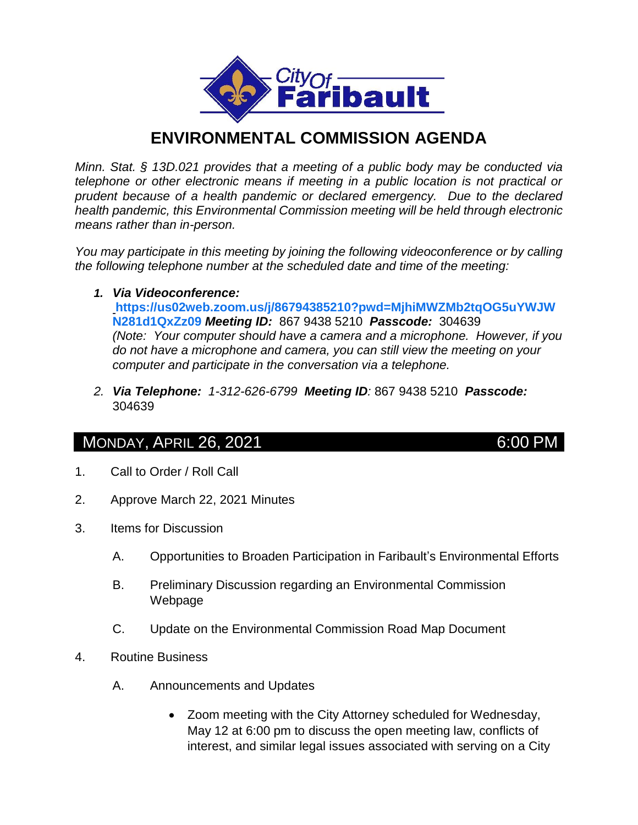

## **ENVIRONMENTAL COMMISSION AGENDA**

*Minn. Stat. § 13D.021 provides that a meeting of a public body may be conducted via telephone or other electronic means if meeting in a public location is not practical or prudent because of a health pandemic or declared emergency. Due to the declared health pandemic, this Environmental Commission meeting will be held through electronic means rather than in-person.*

*You may participate in this meeting by joining the following videoconference or by calling the following telephone number at the scheduled date and time of the meeting:*

*1. Via Videoconference:* 

**[https://us02web.zoom.us/j/86794385210?pwd=MjhiMWZMb2tqOG5uYWJW](https://us02web.zoom.us/j/86794385210?pwd=MjhiMWZMb2tqOG5uYWJWN281d1QxZz09) [N281d1QxZz09](https://us02web.zoom.us/j/86794385210?pwd=MjhiMWZMb2tqOG5uYWJWN281d1QxZz09)** *Meeting ID:* 867 9438 5210 *Passcode:* 304639 *(Note: Your computer should have a camera and a microphone. However, if you do not have a microphone and camera, you can still view the meeting on your computer and participate in the conversation via a telephone.*

*2. Via Telephone: 1-312-626-6799 Meeting ID:* 867 9438 5210 *Passcode:*  304639

## MONDAY, APRIL 26, 2021 6:00 PM

- 1. Call to Order / Roll Call
- 2. Approve March 22, 2021 Minutes
- 3. Items for Discussion
	- A. Opportunities to Broaden Participation in Faribault's Environmental Efforts
	- B. Preliminary Discussion regarding an Environmental Commission Webpage
	- C. Update on the Environmental Commission Road Map Document
- 4. Routine Business
	- A. Announcements and Updates
		- Zoom meeting with the City Attorney scheduled for Wednesday, May 12 at 6:00 pm to discuss the open meeting law, conflicts of interest, and similar legal issues associated with serving on a City